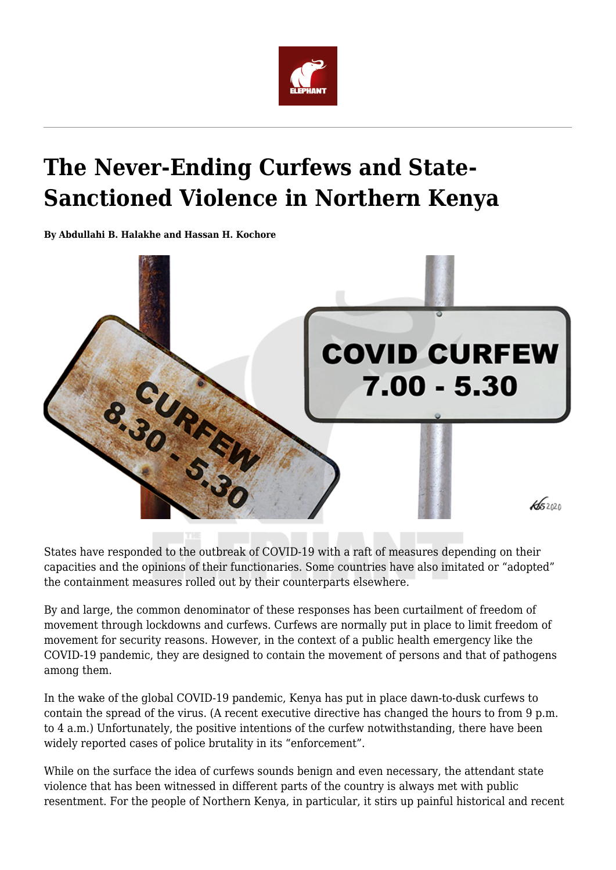

# **The Never-Ending Curfews and State-Sanctioned Violence in Northern Kenya**

**By Abdullahi B. Halakhe and Hassan H. Kochore**



States have responded to the outbreak of COVID-19 with a raft of measures depending on their capacities and the opinions of their functionaries. Some countries have also imitated or "adopted" the containment measures rolled out by their counterparts elsewhere.

By and large, the common denominator of these responses has been curtailment of freedom of movement through lockdowns and curfews. Curfews are normally put in place to limit freedom of movement for security reasons. However, in the context of a public health emergency like the COVID-19 pandemic, they are designed to contain the movement of persons and that of pathogens among them.

In the wake of the global COVID-19 pandemic, Kenya has put in place dawn-to-dusk curfews to contain the spread of the virus. (A recent executive directive has changed the hours to from 9 p.m. to 4 a.m.) Unfortunately, the positive intentions of the curfew notwithstanding, there have been widely reported cases of police brutality in its "enforcement".

While on the surface the idea of curfews sounds benign and even necessary, the attendant state violence that has been witnessed in different parts of the country is always met with public resentment. For the people of Northern Kenya, in particular, it stirs up painful historical and recent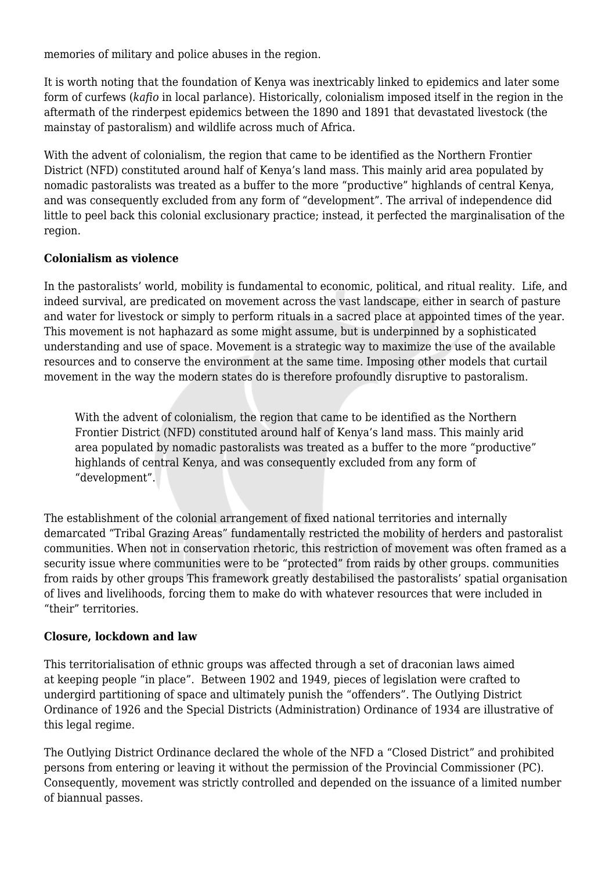memories of military and police abuses in the region.

It is worth noting that the foundation of Kenya was inextricably linked to epidemics and later some form of curfews (*kafio* in local parlance). Historically, colonialism imposed itself in the region in the aftermath of the rinderpest epidemics between the 1890 and 1891 that devastated livestock (the mainstay of pastoralism) and wildlife across much of Africa.

With the advent of colonialism, the region that came to be identified as the Northern Frontier District (NFD) constituted around half of Kenya's land mass. This mainly arid area populated by nomadic pastoralists was treated as a buffer to the more "productive" highlands of central Kenya, and was consequently excluded from any form of "development". The arrival of independence did little to peel back this colonial exclusionary practice; instead, it perfected the marginalisation of the region.

## **Colonialism as violence**

In the pastoralists' world, mobility is fundamental to economic, political, and ritual reality. Life, and indeed survival, are predicated on movement across the vast landscape, either in search of pasture and water for livestock or simply to perform rituals in a sacred place at appointed times of the year. This movement is not haphazard as some might assume, but is underpinned by a sophisticated understanding and use of space. Movement is a strategic way to maximize the use of the available resources and to conserve the environment at the same time. Imposing other models that curtail movement in the way the modern states do is therefore profoundly disruptive to pastoralism.

With the advent of colonialism, the region that came to be identified as the Northern Frontier District (NFD) constituted around half of Kenya's land mass. This mainly arid area populated by nomadic pastoralists was treated as a buffer to the more "productive" highlands of central Kenya, and was consequently excluded from any form of "development".

The establishment of the colonial arrangement of fixed national territories and internally demarcated "Tribal Grazing Areas" fundamentally restricted the mobility of herders and pastoralist communities. When not in conservation rhetoric, this restriction of movement was often framed as a security issue where communities were to be "protected" from raids by other groups. communities from raids by other groups This framework greatly destabilised the pastoralists' spatial organisation of lives and livelihoods, forcing them to make do with whatever resources that were included in "their" territories.

## **Closure, lockdown and law**

This territorialisation of ethnic groups was affected through a set of draconian laws aimed at keeping people "in place". Between 1902 and 1949, pieces of legislation were crafted to undergird partitioning of space and ultimately punish the "offenders". The Outlying District Ordinance of 1926 and the Special Districts (Administration) Ordinance of 1934 are illustrative of this legal regime.

The Outlying District Ordinance declared the whole of the NFD a "Closed District" and prohibited persons from entering or leaving it without the permission of the Provincial Commissioner (PC). Consequently, movement was strictly controlled and depended on the issuance of a limited number of biannual passes.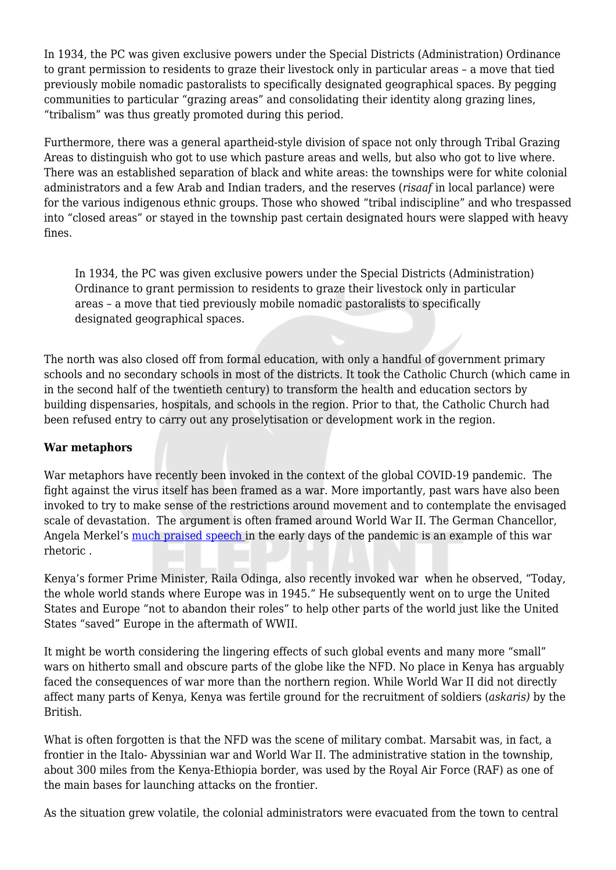In 1934, the PC was given exclusive powers under the Special Districts (Administration) Ordinance to grant permission to residents to graze their livestock only in particular areas – a move that tied previously mobile nomadic pastoralists to specifically designated geographical spaces. By pegging communities to particular "grazing areas" and consolidating their identity along grazing lines, "tribalism" was thus greatly promoted during this period.

Furthermore, there was a general apartheid-style division of space not only through Tribal Grazing Areas to distinguish who got to use which pasture areas and wells, but also who got to live where. There was an established separation of black and white areas: the townships were for white colonial administrators and a few Arab and Indian traders, and the reserves (*risaaf* in local parlance) were for the various indigenous ethnic groups. Those who showed "tribal indiscipline" and who trespassed into "closed areas" or stayed in the township past certain designated hours were slapped with heavy fines.

In 1934, the PC was given exclusive powers under the Special Districts (Administration) Ordinance to grant permission to residents to graze their livestock only in particular areas – a move that tied previously mobile nomadic pastoralists to specifically designated geographical spaces.

The north was also closed off from formal education, with only a handful of government primary schools and no secondary schools in most of the districts. It took the Catholic Church (which came in in the second half of the twentieth century) to transform the health and education sectors by building dispensaries, hospitals, and schools in the region. Prior to that, the Catholic Church had been refused entry to carry out any proselytisation or development work in the region.

## **War metaphors**

War metaphors have recently been invoked in the context of the global COVID-19 pandemic. The fight against the virus itself has been framed as a war. More importantly, past wars have also been invoked to try to make sense of the restrictions around movement and to contemplate the envisaged scale of devastation. The argument is often framed around World War II. The German Chancellor, Angela Merkel's [much praised speech](https://www.youtube.com/watch?v=NWzpSEFDYJM) in the early days of the pandemic is an example of this war rhetoric .

Kenya's former Prime Minister, Raila Odinga, also recently invoked war when he observed, "Today, the whole world stands where Europe was in 1945." He subsequently went on to urge the United States and Europe "not to abandon their roles" to help other parts of the world just like the United States "saved" Europe in the aftermath of WWII.

It might be worth considering the lingering effects of such global events and many more "small" wars on hitherto small and obscure parts of the globe like the NFD. No place in Kenya has arguably faced the consequences of war more than the northern region. While World War II did not directly affect many parts of Kenya, Kenya was fertile ground for the recruitment of soldiers (*askaris)* by the British.

What is often forgotten is that the NFD was the scene of military combat. Marsabit was, in fact, a frontier in the Italo- Abyssinian war and World War II. The administrative station in the township, about 300 miles from the Kenya-Ethiopia border, was used by the Royal Air Force (RAF) as one of the main bases for launching attacks on the frontier.

As the situation grew volatile, the colonial administrators were evacuated from the town to central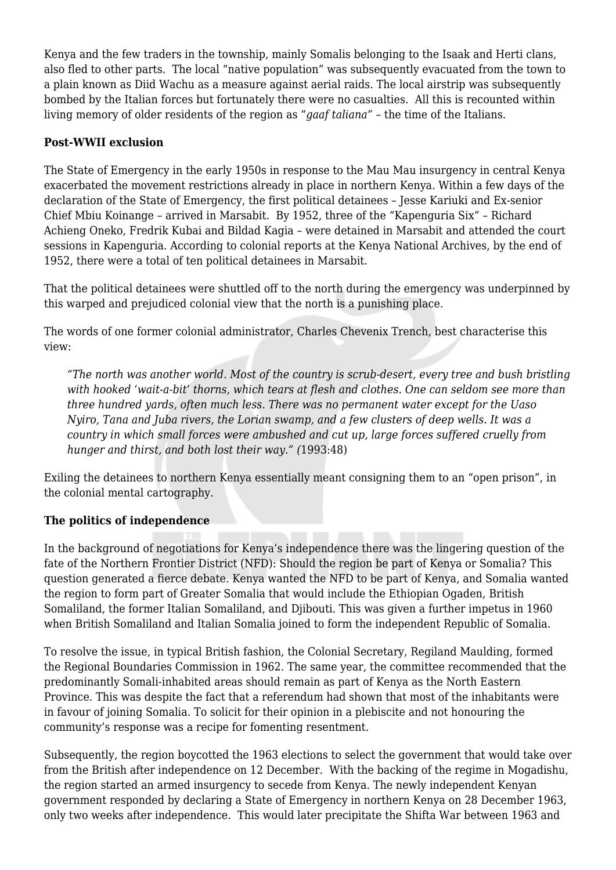Kenya and the few traders in the township, mainly Somalis belonging to the Isaak and Herti clans, also fled to other parts. The local "native population" was subsequently evacuated from the town to a plain known as Diid Wachu as a measure against aerial raids. The local airstrip was subsequently bombed by the Italian forces but fortunately there were no casualties. All this is recounted within living memory of older residents of the region as "*gaaf taliana"* – the time of the Italians.

#### **Post-WWII exclusion**

The State of Emergency in the early 1950s in response to the Mau Mau insurgency in central Kenya exacerbated the movement restrictions already in place in northern Kenya. Within a few days of the declaration of the State of Emergency, the first political detainees – Jesse Kariuki and Ex-senior Chief Mbiu Koinange – arrived in Marsabit. By 1952, three of the "Kapenguria Six" – Richard Achieng Oneko, Fredrik Kubai and Bildad Kagia – were detained in Marsabit and attended the court sessions in Kapenguria. According to colonial reports at the Kenya National Archives, by the end of 1952, there were a total of ten political detainees in Marsabit.

That the political detainees were shuttled off to the north during the emergency was underpinned by this warped and prejudiced colonial view that the north is a punishing place.

The words of one former colonial administrator, Charles Chevenix Trench, best characterise this view:

*"The north was another world. Most of the country is scrub-desert, every tree and bush bristling with hooked 'wait-a-bit' thorns, which tears at flesh and clothes. One can seldom see more than three hundred yards, often much less. There was no permanent water except for the Uaso Nyiro, Tana and Juba rivers, the Lorian swamp, and a few clusters of deep wells. It was a country in which small forces were ambushed and cut up, large forces suffered cruelly from hunger and thirst, and both lost their way." (*1993:48)

Exiling the detainees to northern Kenya essentially meant consigning them to an "open prison", in the colonial mental cartography.

## **The politics of independence**

In the background of negotiations for Kenya's independence there was the lingering question of the fate of the Northern Frontier District (NFD): Should the region be part of Kenya or Somalia? This question generated a fierce debate. Kenya wanted the NFD to be part of Kenya, and Somalia wanted the region to form part of Greater Somalia that would include the Ethiopian Ogaden, British Somaliland, the former Italian Somaliland, and Djibouti. This was given a further impetus in 1960 when British Somaliland and Italian Somalia joined to form the independent Republic of Somalia.

To resolve the issue, in typical British fashion, the Colonial Secretary, Regiland Maulding, formed the Regional Boundaries Commission in 1962. The same year, the committee recommended that the predominantly Somali-inhabited areas should remain as part of Kenya as the North Eastern Province. This was despite the fact that a referendum had shown that most of the inhabitants were in favour of joining Somalia. To solicit for their opinion in a plebiscite and not honouring the community's response was a recipe for fomenting resentment.

Subsequently, the region boycotted the 1963 elections to select the government that would take over from the British after independence on 12 December. With the backing of the regime in Mogadishu, the region started an armed insurgency to secede from Kenya. The newly independent Kenyan government responded by declaring a State of Emergency in northern Kenya on 28 December 1963, only two weeks after independence. This would later precipitate the Shifta War between 1963 and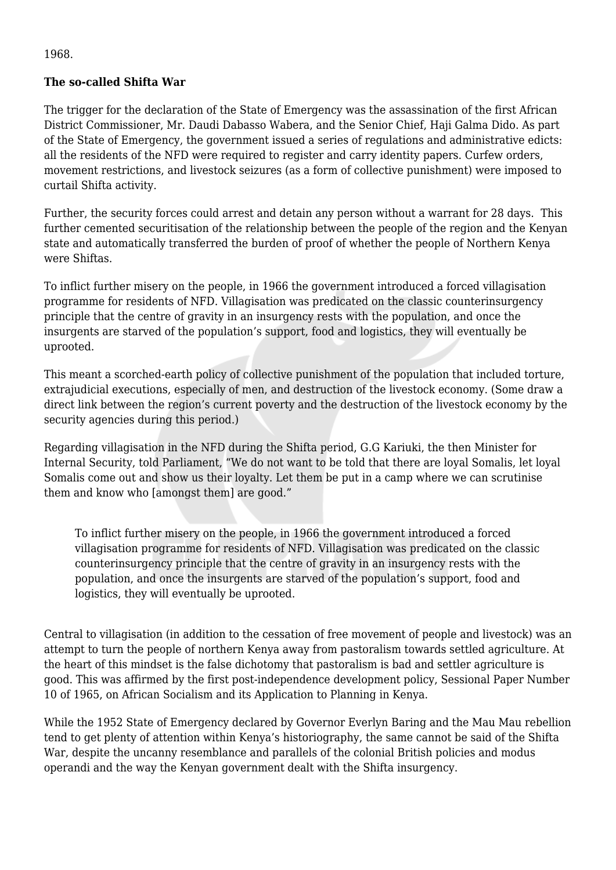1968.

## **The so-called Shifta War**

The trigger for the declaration of the State of Emergency was the assassination of the first African District Commissioner, Mr. Daudi Dabasso Wabera, and the Senior Chief, Haji Galma Dido. As part of the State of Emergency, the government issued a series of regulations and administrative edicts: all the residents of the NFD were required to register and carry identity papers. Curfew orders, movement restrictions, and livestock seizures (as a form of collective punishment) were imposed to curtail Shifta activity.

Further, the security forces could arrest and detain any person without a warrant for 28 days. This further cemented securitisation of the relationship between the people of the region and the Kenyan state and automatically transferred the burden of proof of whether the people of Northern Kenya were Shiftas.

To inflict further misery on the people, in 1966 the government introduced a forced villagisation programme for residents of NFD. Villagisation was predicated on the classic counterinsurgency principle that the centre of gravity in an insurgency rests with the population, and once the insurgents are starved of the population's support, food and logistics, they will eventually be uprooted.

This meant a scorched-earth policy of collective punishment of the population that included torture, extrajudicial executions, especially of men, and destruction of the livestock economy. (Some draw a direct link between the region's current poverty and the destruction of the livestock economy by the security agencies during this period.)

Regarding villagisation in the NFD during the Shifta period, G.G Kariuki, the then Minister for Internal Security, told Parliament, "We do not want to be told that there are loyal Somalis, let loyal Somalis come out and show us their loyalty. Let them be put in a camp where we can scrutinise them and know who [amongst them] are good."

To inflict further misery on the people, in 1966 the government introduced a forced villagisation programme for residents of NFD. Villagisation was predicated on the classic counterinsurgency principle that the centre of gravity in an insurgency rests with the population, and once the insurgents are starved of the population's support, food and logistics, they will eventually be uprooted.

Central to villagisation (in addition to the cessation of free movement of people and livestock) was an attempt to turn the people of northern Kenya away from pastoralism towards settled agriculture. At the heart of this mindset is the false dichotomy that pastoralism is bad and settler agriculture is good. This was affirmed by the first post-independence development policy, Sessional Paper Number 10 of 1965, on African Socialism and its Application to Planning in Kenya.

While the 1952 State of Emergency declared by Governor Everlyn Baring and the Mau Mau rebellion tend to get plenty of attention within Kenya's historiography, the same cannot be said of the Shifta War, despite the uncanny resemblance and parallels of the colonial British policies and modus operandi and the way the Kenyan government dealt with the Shifta insurgency.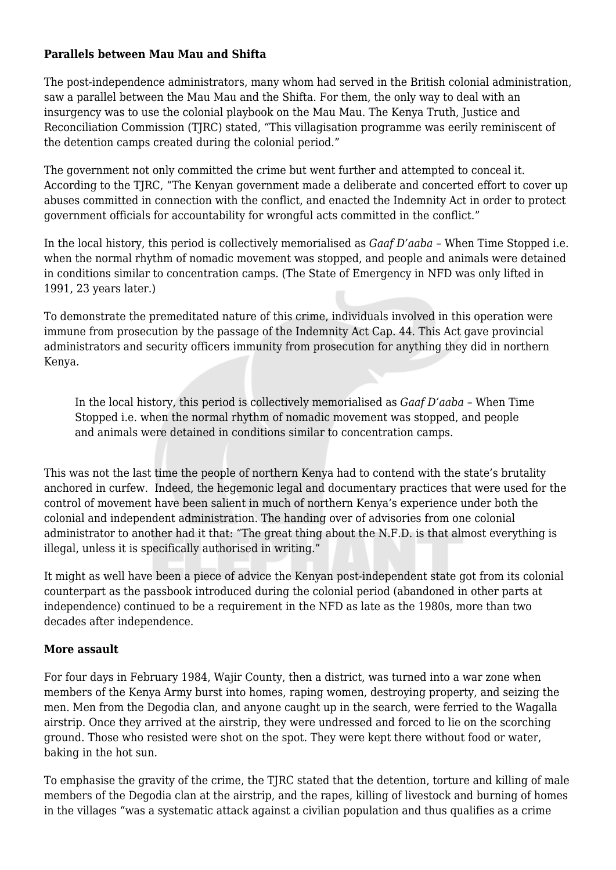#### **Parallels between Mau Mau and Shifta**

The post-independence administrators, many whom had served in the British colonial administration, saw a parallel between the Mau Mau and the Shifta. For them, the only way to deal with an insurgency was to use the colonial playbook on the Mau Mau. The Kenya Truth, Justice and Reconciliation Commission (TJRC) stated, "This villagisation programme was eerily reminiscent of the detention camps created during the colonial period."

The government not only committed the crime but went further and attempted to conceal it. According to the TJRC, "The Kenyan government made a deliberate and concerted effort to cover up abuses committed in connection with the conflict, and enacted the Indemnity Act in order to protect government officials for accountability for wrongful acts committed in the conflict."

In the local history, this period is collectively memorialised as *Gaaf D'aaba* – When Time Stopped i.e. when the normal rhythm of nomadic movement was stopped, and people and animals were detained in conditions similar to concentration camps. (The State of Emergency in NFD was only lifted in 1991, 23 years later.)

To demonstrate the premeditated nature of this crime, individuals involved in this operation were immune from prosecution by the passage of the Indemnity Act Cap. 44. This Act gave provincial administrators and security officers immunity from prosecution for anything they did in northern Kenya.

In the local history, this period is collectively memorialised as *Gaaf D'aaba* – When Time Stopped i.e. when the normal rhythm of nomadic movement was stopped, and people and animals were detained in conditions similar to concentration camps.

This was not the last time the people of northern Kenya had to contend with the state's brutality anchored in curfew. Indeed, the hegemonic legal and documentary practices that were used for the control of movement have been salient in much of northern Kenya's experience under both the colonial and independent administration. The handing over of advisories from one colonial administrator to another had it that: "The great thing about the N.F.D. is that almost everything is illegal, unless it is specifically authorised in writing."

It might as well have been a piece of advice the Kenyan post-independent state got from its colonial counterpart as the passbook introduced during the colonial period (abandoned in other parts at independence) continued to be a requirement in the NFD as late as the 1980s, more than two decades after independence.

#### **More assault**

For four days in February 1984, Wajir County, then a district, was turned into a war zone when members of the Kenya Army burst into homes, raping women, destroying property, and seizing the men. Men from the Degodia clan, and anyone caught up in the search, were ferried to the Wagalla airstrip. Once they arrived at the airstrip, they were undressed and forced to lie on the scorching ground. Those who resisted were shot on the spot. They were kept there without food or water, baking in the hot sun.

To emphasise the gravity of the crime, the TJRC stated that the detention, torture and killing of male members of the Degodia clan at the airstrip, and the rapes, killing of livestock and burning of homes in the villages "was a systematic attack against a civilian population and thus qualifies as a crime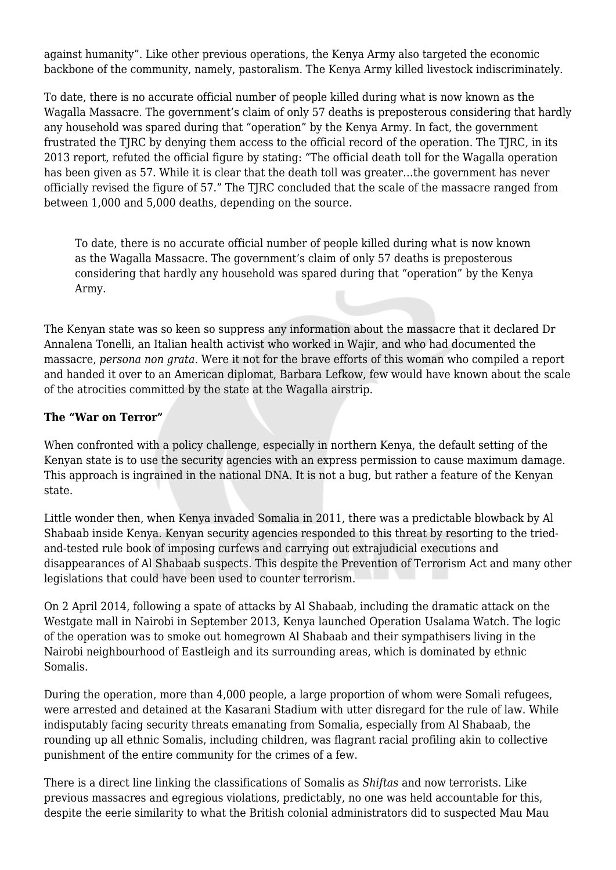against humanity". Like other previous operations, the Kenya Army also targeted the economic backbone of the community, namely, pastoralism. The Kenya Army killed livestock indiscriminately.

To date, there is no accurate official number of people killed during what is now known as the Wagalla Massacre. The government's claim of only 57 deaths is preposterous considering that hardly any household was spared during that "operation" by the Kenya Army. In fact, the government frustrated the TJRC by denying them access to the official record of the operation. The TJRC, in its 2013 report, refuted the official figure by stating: "The official death toll for the Wagalla operation has been given as 57. While it is clear that the death toll was greater…the government has never officially revised the figure of 57." The TJRC concluded that the scale of the massacre ranged from between 1,000 and 5,000 deaths, depending on the source.

To date, there is no accurate official number of people killed during what is now known as the Wagalla Massacre. The government's claim of only 57 deaths is preposterous considering that hardly any household was spared during that "operation" by the Kenya Army.

The Kenyan state was so keen so suppress any information about the massacre that it declared Dr Annalena Tonelli, an Italian health activist who worked in Wajir, and who had documented the massacre, *persona non grata*. Were it not for the brave efforts of this woman who compiled a report and handed it over to an American diplomat, Barbara Lefkow, few would have known about the scale of the atrocities committed by the state at the Wagalla airstrip.

## **The "War on Terror"**

When confronted with a policy challenge, especially in northern Kenya, the default setting of the Kenyan state is to use the security agencies with an express permission to cause maximum damage. This approach is ingrained in the national DNA. It is not a bug, but rather a feature of the Kenyan state.

Little wonder then, when Kenya invaded Somalia in 2011, there was a predictable blowback by Al Shabaab inside Kenya. Kenyan security agencies responded to this threat by resorting to the triedand-tested rule book of imposing curfews and carrying out extrajudicial executions and disappearances of Al Shabaab suspects. This despite the Prevention of Terrorism Act and many other legislations that could have been used to counter terrorism.

On 2 April 2014, following a spate of attacks by Al Shabaab, including the dramatic attack on the Westgate mall in Nairobi in September 2013, Kenya launched Operation Usalama Watch. The logic of the operation was to smoke out homegrown Al Shabaab and their sympathisers living in the Nairobi neighbourhood of Eastleigh and its surrounding areas, which is dominated by ethnic Somalis.

During the operation, more than 4,000 people, a large proportion of whom were Somali refugees, were arrested and detained at the Kasarani Stadium with utter disregard for the rule of law. While indisputably facing security threats emanating from Somalia, especially from Al Shabaab, the rounding up all ethnic Somalis, including children, was flagrant racial profiling akin to collective punishment of the entire community for the crimes of a few.

There is a direct line linking the classifications of Somalis as *Shiftas* and now terrorists. Like previous massacres and egregious violations, predictably, no one was held accountable for this, despite the eerie similarity to what the British colonial administrators did to suspected Mau Mau